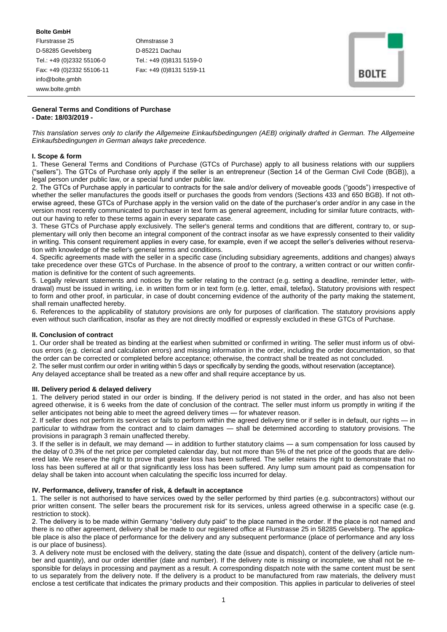**Bolte GmbH** Flurstrasse 25 Ohmstrasse 3 D-58285 Gevelsberg D-85221 Dachau Tel.: +49 (0)2332 55106-0 Tel.: +49 (0)8131 5159-0 Fax: +49 (0)2332 55106-11 Fax: +49 (0)8131 5159-11 info@bolte.gmbh www.bolte.gmbh

|  |                         |   | ٠ |  |
|--|-------------------------|---|---|--|
|  | <b>ROL</b><br>r<br>55.3 | w |   |  |

## **General Terms and Conditions of Purchase - Date: 18/03/2019 -**

*This translation serves only to clarify the Allgemeine Einkaufsbedingungen (AEB) originally drafted in German. The Allgemeine Einkaufsbedingungen in German always take precedence.*

## **I. Scope & form**

1. These General Terms and Conditions of Purchase (GTCs of Purchase) apply to all business relations with our suppliers ("sellers"). The GTCs of Purchase only apply if the seller is an entrepreneur (Section 14 of the German Civil Code (BGB)), a legal person under public law, or a special fund under public law.

2. The GTCs of Purchase apply in particular to contracts for the sale and/or delivery of moveable goods ("goods") irrespective of whether the seller manufactures the goods itself or purchases the goods from vendors (Sections 433 and 650 BGB). If not otherwise agreed, these GTCs of Purchase apply in the version valid on the date of the purchaser's order and/or in any case in the version most recently communicated to purchaser in text form as general agreement, including for similar future contracts, without our having to refer to these terms again in every separate case.

3. These GTCs of Purchase apply exclusively. The seller's general terms and conditions that are different, contrary to, or supplementary will only then become an integral component of the contract insofar as we have expressly consented to their validity in writing. This consent requirement applies in every case, for example, even if we accept the seller's deliveries without reservation with knowledge of the seller's general terms and conditions.

4. Specific agreements made with the seller in a specific case (including subsidiary agreements, additions and changes) always take precedence over these GTCs of Purchase. In the absence of proof to the contrary, a written contract or our written confirmation is definitive for the content of such agreements.

5. Legally relevant statements and notices by the seller relating to the contract (e.g. setting a deadline, reminder letter, withdrawal) must be issued in writing, i.e. in written form or in text form (e.g. letter, email, telefax)**.** Statutory provisions with respect to form and other proof, in particular, in case of doubt concerning evidence of the authority of the party making the statement, shall remain unaffected hereby.

6. References to the applicability of statutory provisions are only for purposes of clarification. The statutory provisions apply even without such clarification, insofar as they are not directly modified or expressly excluded in these GTCs of Purchase.

## **II. Conclusion of contract**

1. Our order shall be treated as binding at the earliest when submitted or confirmed in writing. The seller must inform us of obvious errors (e.g. clerical and calculation errors) and missing information in the order, including the order documentation, so that the order can be corrected or completed before acceptance; otherwise, the contract shall be treated as not concluded.

2. The seller must confirm our order in writing within 5 days or specifically by sending the goods, without reservation (acceptance).

Any delayed acceptance shall be treated as a new offer and shall require acceptance by us.

# **III. Delivery period & delayed delivery**

1. The delivery period stated in our order is binding. If the delivery period is not stated in the order, and has also not been agreed otherwise, it is 6 weeks from the date of conclusion of the contract. The seller must inform us promptly in writing if the seller anticipates not being able to meet the agreed delivery times — for whatever reason.

2. If seller does not perform its services or fails to perform within the agreed delivery time or if seller is in default, our rights — in particular to withdraw from the contract and to claim damages — shall be determined according to statutory provisions. The provisions in paragraph 3 remain unaffected thereby.

3. If the seller is in default, we may demand — in addition to further statutory claims — a sum compensation for loss caused by the delay of 0.3% of the net price per completed calendar day, but not more than 5% of the net price of the goods that are delivered late. We reserve the right to prove that greater loss has been suffered. The seller retains the right to demonstrate that no loss has been suffered at all or that significantly less loss has been suffered. Any lump sum amount paid as compensation for delay shall be taken into account when calculating the specific loss incurred for delay.

## **IV. Performance, delivery, transfer of risk, & default in acceptance**

1. The seller is not authorised to have services owed by the seller performed by third parties (e.g. subcontractors) without our prior written consent. The seller bears the procurement risk for its services, unless agreed otherwise in a specific case (e.g. restriction to stock).

2. The delivery is to be made within Germany "delivery duty paid" to the place named in the order. If the place is not named and there is no other agreement, delivery shall be made to our registered office at Flurstrasse 25 in 58285 Gevelsberg. The applicable place is also the place of performance for the delivery and any subsequent performance (place of performance and any loss is our place of business).

3. A delivery note must be enclosed with the delivery, stating the date (issue and dispatch), content of the delivery (article number and quantity), and our order identifier (date and number). If the delivery note is missing or incomplete, we shall not be responsible for delays in processing and payment as a result. A corresponding dispatch note with the same content must be sent to us separately from the delivery note. If the delivery is a product to be manufactured from raw materials, the delivery must enclose a test certificate that indicates the primary products and their composition. This applies in particular to deliveries of steel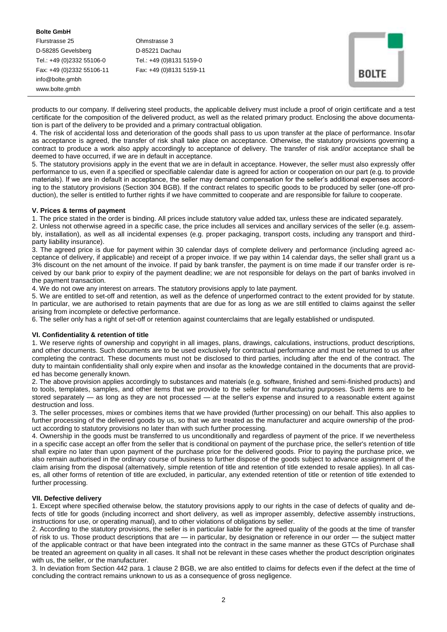## **Bolte GmbH**

Flurstrasse 25 Ohmstrasse 3 D-58285 Gevelsberg D-85221 Dachau Tel.: +49 (0)2332 55106-0 Tel.: +49 (0)8131 5159-0 Fax: +49 (0)2332 55106-11 Fax: +49 (0)8131 5159-11 info@bolte.gmbh www.bolte.gmbh

| Ш<br>÷ |      |    |  |
|--------|------|----|--|
|        | BOL. | Έ. |  |

products to our company. If delivering steel products, the applicable delivery must include a proof of origin certificate and a test certificate for the composition of the delivered product, as well as the related primary product. Enclosing the above documentation is part of the delivery to be provided and a primary contractual obligation.

4. The risk of accidental loss and deterioration of the goods shall pass to us upon transfer at the place of performance. Insofar as acceptance is agreed, the transfer of risk shall take place on acceptance. Otherwise, the statutory provisions governing a contract to produce a work also apply accordingly to acceptance of delivery. The transfer of risk and/or acceptance shall be deemed to have occurred, if we are in default in acceptance.

5. The statutory provisions apply in the event that we are in default in acceptance. However, the seller must also expressly offer performance to us, even if a specified or specifiable calendar date is agreed for action or cooperation on our part (e.g. to provide materials). If we are in default in acceptance, the seller may demand compensation for the seller's additional expenses according to the statutory provisions (Section 304 BGB). If the contract relates to specific goods to be produced by seller (one-off production), the seller is entitled to further rights if we have committed to cooperate and are responsible for failure to cooperate.

## **V. Prices & terms of payment**

1. The price stated in the order is binding. All prices include statutory value added tax, unless these are indicated separately. 2. Unless not otherwise agreed in a specific case, the price includes all services and ancillary services of the seller (e.g. assembly, installation), as well as all incidental expenses (e.g. proper packaging, transport costs, including any transport and thirdparty liability insurance).

3. The agreed price is due for payment within 30 calendar days of complete delivery and performance (including agreed acceptance of delivery, if applicable) and receipt of a proper invoice. If we pay within 14 calendar days, the seller shall grant us a 3% discount on the net amount of the invoice. If paid by bank transfer, the payment is on time made if our transfer order is received by our bank prior to expiry of the payment deadline; we are not responsible for delays on the part of banks involved in the payment transaction.

4. We do not owe any interest on arrears. The statutory provisions apply to late payment.

5. We are entitled to set-off and retention, as well as the defence of unperformed contract to the extent provided for by statute. In particular, we are authorised to retain payments that are due for as long as we are still entitled to claims against the seller arising from incomplete or defective performance.

6. The seller only has a right of set-off or retention against counterclaims that are legally established or undisputed.

# **VI. Confidentiality & retention of title**

1. We reserve rights of ownership and copyright in all images, plans, drawings, calculations, instructions, product descriptions, and other documents. Such documents are to be used exclusively for contractual performance and must be returned to us after completing the contract. These documents must not be disclosed to third parties, including after the end of the contract. The duty to maintain confidentiality shall only expire when and insofar as the knowledge contained in the documents that are provided has become generally known.

2. The above provision applies accordingly to substances and materials (e.g. software, finished and semi-finished products) and to tools, templates, samples, and other items that we provide to the seller for manufacturing purposes. Such items are to be stored separately — as long as they are not processed — at the seller's expense and insured to a reasonable extent against destruction and loss.

3. The seller processes, mixes or combines items that we have provided (further processing) on our behalf. This also applies to further processing of the delivered goods by us, so that we are treated as the manufacturer and acquire ownership of the product according to statutory provisions no later than with such further processing.

4. Ownership in the goods must be transferred to us unconditionally and regardless of payment of the price. If we nevertheless in a specific case accept an offer from the seller that is conditional on payment of the purchase price, the seller's retention of title shall expire no later than upon payment of the purchase price for the delivered goods. Prior to paying the purchase price, we also remain authorised in the ordinary course of business to further dispose of the goods subject to advance assignment of the claim arising from the disposal (alternatively, simple retention of title and retention of title extended to resale applies). In all cases, all other forms of retention of title are excluded, in particular, any extended retention of title or retention of title extended to further processing.

# **VII. Defective delivery**

1. Except where specified otherwise below, the statutory provisions apply to our rights in the case of defects of quality and defects of title for goods (including incorrect and short delivery, as well as improper assembly, defective assembly instructions, instructions for use, or operating manual), and to other violations of obligations by seller.

2. According to the statutory provisions, the seller is in particular liable for the agreed quality of the goods at the time of transfer of risk to us. Those product descriptions that are — in particular, by designation or reference in our order — the subject matter of the applicable contract or that have been integrated into the contract in the same manner as these GTCs of Purchase shall be treated an agreement on quality in all cases. It shall not be relevant in these cases whether the product description originates with us, the seller, or the manufacturer.

3. In deviation from Section 442 para. 1 clause 2 BGB, we are also entitled to claims for defects even if the defect at the time of concluding the contract remains unknown to us as a consequence of gross negligence.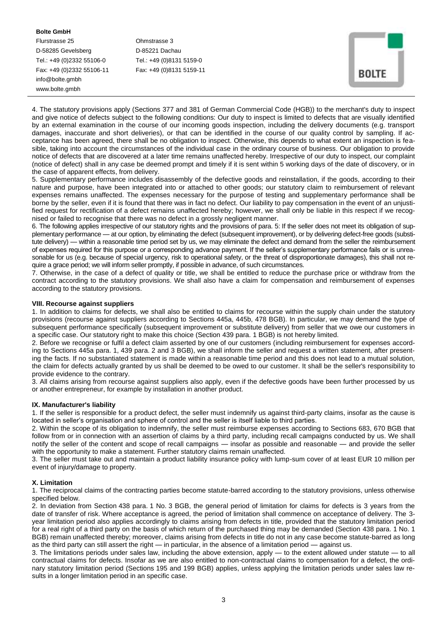## **Bolte GmbH**

Flurstrasse 25 Ohmstrasse 3 D-58285 Gevelsberg D-85221 Dachau Tel.: +49 (0)2332 55106-0 Tel.: +49 (0)8131 5159-0 Fax: +49 (0)2332 55106-11 Fax: +49 (0)8131 5159-11 info@bolte.gmbh www.bolte.gmbh

| <b>ROIT</b> | F<br>÷ |  |
|-------------|--------|--|

4. The statutory provisions apply (Sections 377 and 381 of German Commercial Code (HGB)) to the merchant's duty to inspect and give notice of defects subject to the following conditions: Our duty to inspect is limited to defects that are visually identified by an external examination in the course of our incoming goods inspection, including the delivery documents (e.g. transport damages, inaccurate and short deliveries), or that can be identified in the course of our quality control by sampling. If acceptance has been agreed, there shall be no obligation to inspect. Otherwise, this depends to what extent an inspection is feasible, taking into account the circumstances of the individual case in the ordinary course of business. Our obligation to provide notice of defects that are discovered at a later time remains unaffected hereby. Irrespective of our duty to inspect, our complaint (notice of defect) shall in any case be deemed prompt and timely if it is sent within 5 working days of the date of discovery, or in the case of apparent effects, from delivery.

5. Supplementary performance includes disassembly of the defective goods and reinstallation, if the goods, according to their nature and purpose, have been integrated into or attached to other goods; our statutory claim to reimbursement of relevant expenses remains unaffected. The expenses necessary for the purpose of testing and supplementary performance shall be borne by the seller, even if it is found that there was in fact no defect. Our liability to pay compensation in the event of an unjustified request for rectification of a defect remains unaffected hereby; however, we shall only be liable in this respect if we recognised or failed to recognise that there was no defect in a grossly negligent manner.

6. The following applies irrespective of our statutory rights and the provisions of para. 5: If the seller does not meet its obligation of supplementary performance — at our option, by eliminating the defect (subsequent improvement), or by delivering defect-free goods (substitute delivery) — within a reasonable time period set by us, we may eliminate the defect and demand from the seller the reimbursement of expenses required for this purpose or a corresponding advance payment. If the seller's supplementary performance fails or is unreasonable for us (e.g. because of special urgency, risk to operational safety, or the threat of disproportionate damages), this shall not require a grace period; we will inform seller promptly, if possible in advance, of such circumstances.

7. Otherwise, in the case of a defect of quality or title, we shall be entitled to reduce the purchase price or withdraw from the contract according to the statutory provisions. We shall also have a claim for compensation and reimbursement of expenses according to the statutory provisions.

## **VIII. Recourse against suppliers**

1. In addition to claims for defects, we shall also be entitled to claims for recourse within the supply chain under the statutory provisions (recourse against suppliers according to Sections 445a, 445b, 478 BGB). In particular, we may demand the type of subsequent performance specifically (subsequent improvement or substitute delivery) from seller that we owe our customers in a specific case. Our statutory right to make this choice (Section 439 para. 1 BGB) is not hereby limited.

2. Before we recognise or fulfil a defect claim asserted by one of our customers (including reimbursement for expenses according to Sections 445a para. 1, 439 para. 2 and 3 BGB), we shall inform the seller and request a written statement, after presenting the facts. If no substantiated statement is made within a reasonable time period and this does not lead to a mutual solution, the claim for defects actually granted by us shall be deemed to be owed to our customer. It shall be the seller's responsibility to provide evidence to the contrary.

3. All claims arising from recourse against suppliers also apply, even if the defective goods have been further processed by us or another entrepreneur, for example by installation in another product.

## **IX. Manufacturer's liability**

1. If the seller is responsible for a product defect, the seller must indemnify us against third-party claims, insofar as the cause is located in seller's organisation and sphere of control and the seller is itself liable to third parties.

2. Within the scope of its obligation to indemnify, the seller must reimburse expenses according to Sections 683, 670 BGB that follow from or in connection with an assertion of claims by a third party, including recall campaigns conducted by us. We shall notify the seller of the content and scope of recall campaigns — insofar as possible and reasonable — and provide the seller with the opportunity to make a statement. Further statutory claims remain unaffected.

3. The seller must take out and maintain a product liability insurance policy with lump-sum cover of at least EUR 10 million per event of injury/damage to property.

## **X. Limitation**

1. The reciprocal claims of the contracting parties become statute-barred according to the statutory provisions, unless otherwise specified below.

2. In deviation from Section 438 para. 1 No. 3 BGB, the general period of limitation for claims for defects is 3 years from the date of transfer of risk. Where acceptance is agreed, the period of limitation shall commence on acceptance of delivery. The 3 year limitation period also applies accordingly to claims arising from defects in title, provided that the statutory limitation period for a real right of a third party on the basis of which return of the purchased thing may be demanded (Section 438 para. 1 No. 1 BGB) remain unaffected thereby; moreover, claims arising from defects in title do not in any case become statute-barred as long as the third party can still assert the right — in particular, in the absence of a limitation period — against us.

3. The limitations periods under sales law, including the above extension, apply — to the extent allowed under statute — to all contractual claims for defects. Insofar as we are also entitled to non-contractual claims to compensation for a defect, the ordinary statutory limitation period (Sections 195 and 199 BGB) applies, unless applying the limitation periods under sales law results in a longer limitation period in an specific case.